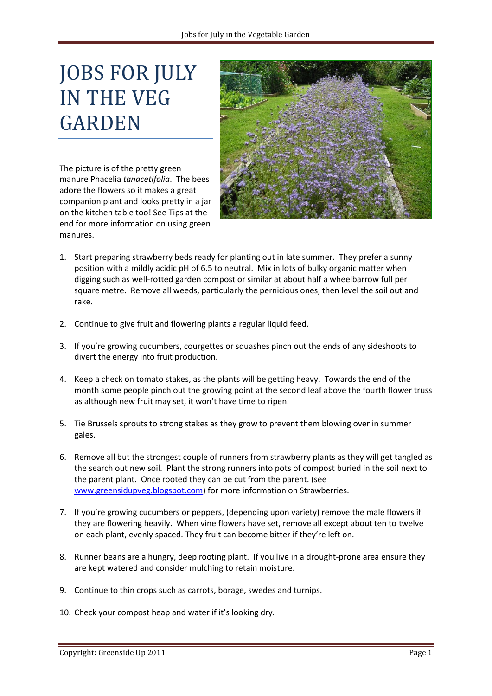## JOBS FOR JULY IN THE VEG GARDEN

The picture is of the pretty green manure Phacelia *tanacetifolia*. The bees adore the flowers so it makes a great companion plant and looks pretty in a jar on the kitchen table too! See Tips at the end for more information on using green manures.



- 1. Start preparing strawberry beds ready for planting out in late summer. They prefer a sunny position with a mildly acidic pH of 6.5 to neutral. Mix in lots of bulky organic matter when digging such as well-rotted garden compost or similar at about half a wheelbarrow full per square metre. Remove all weeds, particularly the pernicious ones, then level the soil out and rake.
- 2. Continue to give fruit and flowering plants a regular liquid feed.
- 3. If you're growing cucumbers, courgettes or squashes pinch out the ends of any sideshoots to divert the energy into fruit production.
- 4. Keep a check on tomato stakes, as the plants will be getting heavy. Towards the end of the month some people pinch out the growing point at the second leaf above the fourth flower truss as although new fruit may set, it won't have time to ripen.
- 5. Tie Brussels sprouts to strong stakes as they grow to prevent them blowing over in summer gales.
- 6. Remove all but the strongest couple of runners from strawberry plants as they will get tangled as the search out new soil. Plant the strong runners into pots of compost buried in the soil next to the parent plant. Once rooted they can be cut from the parent. (see [www.greensidupveg.blogspot.com\)](http://www.greensidupveg.blogspot.com/) for more information on Strawberries.
- 7. If you're growing cucumbers or peppers, (depending upon variety) remove the male flowers if they are flowering heavily. When vine flowers have set, remove all except about ten to twelve on each plant, evenly spaced. They fruit can become bitter if they're left on.
- 8. Runner beans are a hungry, deep rooting plant. If you live in a drought-prone area ensure they are kept watered and consider mulching to retain moisture.
- 9. Continue to thin crops such as carrots, borage, swedes and turnips.
- 10. Check your compost heap and water if it's looking dry.